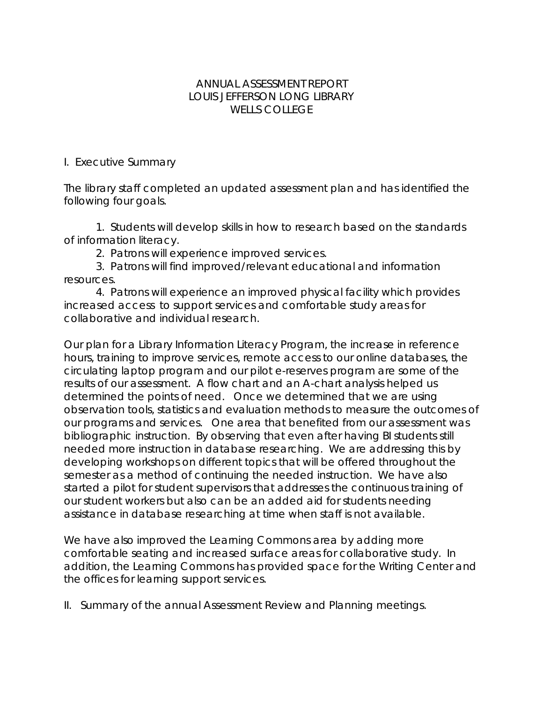## ANNUAL ASSESSMENT REPORT LOUIS JEFFERSON LONG LIBRARY WELLS COLLEGE

## I. Executive Summary

The library staff completed an updated assessment plan and has identified the following four goals.

 1. Students will develop skills in how to research based on the standards of information literacy.

2. Patrons will experience improved services.

 3. Patrons will find improved/relevant educational and information resources.

 4. Patrons will experience an improved physical facility which provides increased access to support services and comfortable study areas for collaborative and individual research.

Our plan for a Library Information Literacy Program, the increase in reference hours, training to improve services, remote access to our online databases, the circulating laptop program and our pilot e-reserves program are some of the results of our assessment. A flow chart and an A-chart analysis helped us determined the points of need. Once we determined that we are using observation tools, statistics and evaluation methods to measure the outcomes of our programs and services. One area that benefited from our assessment was bibliographic instruction. By observing that even after having BI students still needed more instruction in database researching. We are addressing this by developing workshops on different topics that will be offered throughout the semester as a method of continuing the needed instruction. We have also started a pilot for student supervisors that addresses the continuous training of our student workers but also can be an added aid for students needing assistance in database researching at time when staff is not available.

We have also improved the Learning Commons area by adding more comfortable seating and increased surface areas for collaborative study. In addition, the Learning Commons has provided space for the Writing Center and the offices for learning support services.

II. Summary of the annual Assessment Review and Planning meetings.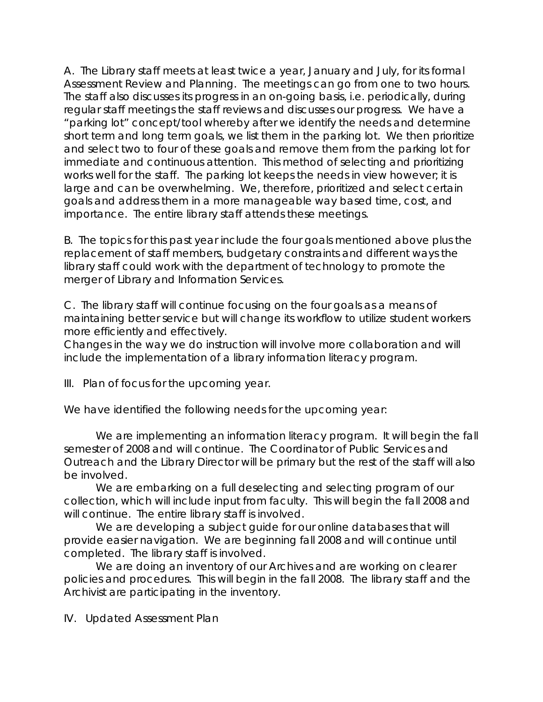A. The Library staff meets at least twice a year, January and July, for its formal Assessment Review and Planning. The meetings can go from one to two hours. The staff also discusses its progress in an on-going basis, i.e. periodically, during regular staff meetings the staff reviews and discusses our progress. We have a "parking lot" concept/tool whereby after we identify the needs and determine short term and long term goals, we list them in the parking lot. We then prioritize and select two to four of these goals and remove them from the parking lot for immediate and continuous attention. This method of selecting and prioritizing works well for the staff. The parking lot keeps the needs in view however; it is large and can be overwhelming. We, therefore, prioritized and select certain goals and address them in a more manageable way based time, cost, and importance. The entire library staff attends these meetings.

B. The topics for this past year include the four goals mentioned above plus the replacement of staff members, budgetary constraints and different ways the library staff could work with the department of technology to promote the merger of Library and Information Services.

C. The library staff will continue focusing on the four goals as a means of maintaining better service but will change its workflow to utilize student workers more efficiently and effectively.

Changes in the way we do instruction will involve more collaboration and will include the implementation of a library information literacy program.

III. Plan of focus for the upcoming year.

We have identified the following needs for the upcoming year:

 We are implementing an information literacy program. It will begin the fall semester of 2008 and will continue. The Coordinator of Public Services and Outreach and the Library Director will be primary but the rest of the staff will also be involved.

 We are embarking on a full deselecting and selecting program of our collection, which will include input from faculty. This will begin the fall 2008 and will continue. The entire library staff is involved.

We are developing a subject quide for our online databases that will provide easier navigation. We are beginning fall 2008 and will continue until completed. The library staff is involved.

 We are doing an inventory of our Archives and are working on clearer policies and procedures. This will begin in the fall 2008. The library staff and the Archivist are participating in the inventory.

IV. Updated Assessment Plan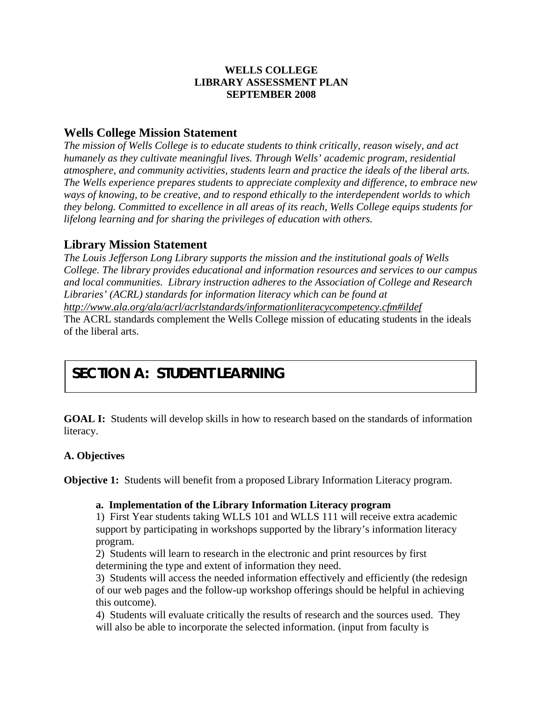## **WELLS COLLEGE LIBRARY ASSESSMENT PLAN SEPTEMBER 2008**

## **Wells College Mission Statement**

*The mission of Wells College is to educate students to think critically, reason wisely, and act humanely as they cultivate meaningful lives. Through Wells' academic program, residential atmosphere, and community activities, students learn and practice the ideals of the liberal arts. The Wells experience prepares students to appreciate complexity and difference, to embrace new ways of knowing, to be creative, and to respond ethically to the interdependent worlds to which they belong. Committed to excellence in all areas of its reach, Wells College equips students for felong learning and for sharing the privileges of education with others. li*

## **Library Mission Statement**

*College. The library provides educational and information resources and services to our campus Research and local communities. Library instruction adheres to the Association of College and The Louis Jefferson Long Library supports the mission and the institutional goals of Wells Libraries' (ACRL) standards for information literacy which can be found at* 

*la/acrl/acrlstandards/informationliteracycompetency.cfm#ildef http://www.ala.org/a* The ACRL standards complement the Wells College mission of educating students in the ideals of the liberal arts.

# **SECTION A: STUDENT LEARNING**

**GOAL I:** Students will develop skills in how to research based on the standards of information literacy.

## **. Objectives A**

**Objective 1:** Students will benefit from a proposed Library Information Literacy program.

## **on of the Library Information Literacy program a. Implementati**

1) First Year students taking WLLS 101 and WLLS 111 will receive extra academic support by participating in workshops supported by the library's information literacy program.

determining the type and extent of information they need. 2) Students will learn to research in the electronic and print resources by first

of our web pages and the follow-up workshop offerings should be helpful in achieving 3) Students will access the needed information effectively and efficiently (the redesign this outcome).

4) Students will evaluate critically the results of research and the sources used. They will also be able to incorporate the selected information. (input from faculty is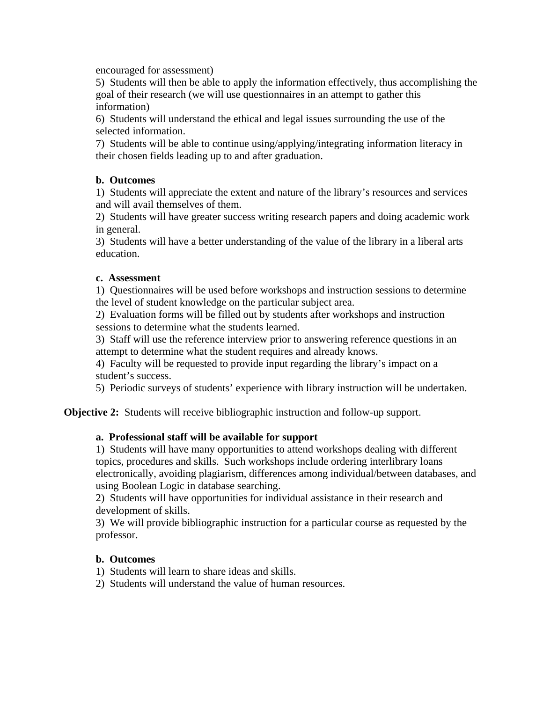encouraged for assessment)

 5) Students will then be able to apply the information effectively, thus accom plishing the goal of their research (we will use questionnaires in an attempt to gather this information)

6) Students will understand the ethical and legal issues surrounding the use of the selected information.

7) Students will be able to continue using/applying/integrating information literacy in their chosen fields leading up to and after graduation.

## **b. Outcomes**

1) Students will appreciate the extent and nature of the library's resources and services and will avail themselves of them.

2) Students will have greater success writing research papers and doing academic work in general.

3) Students will have a better understanding of the value of the library in a liberal arts education.

#### **c. Assessment**

1) Questionnaires will be used before workshops and instruction sessions to determine the level of student knowledge on the particular subject area.

2) Evaluation forms will be filled out by students after workshops and instruction sessions to determine what the students learned.

3) Staff will use the reference interview prior to answering reference questions in an attempt to determine what the student requires and already knows.

4) Faculty will be requested to provide input regarding the library's impact on a student's success.

5) Periodic surveys of students' experience with library instruction will be undertaken.

Objective 2: Students will receive bibliographic instruction and follow-up support.

#### **a. Professional staff will be available for support**

1) Students will have many opportunities to attend workshops dealing with different electronically, avoiding plagiarism, differences among individual/between databases, and topics, procedures and skills. Such workshops include ordering interlibrary loans using Boolean Logic in database searching.

2) Students will have opportunities for individual assistance in their research and development of skills.

3) We will provide bibliographic instruction for a particular course as requested by the professor.

#### **b. Outcomes**

1) Students will learn to share ideas and skills.

2) Students will understand the value of human resources.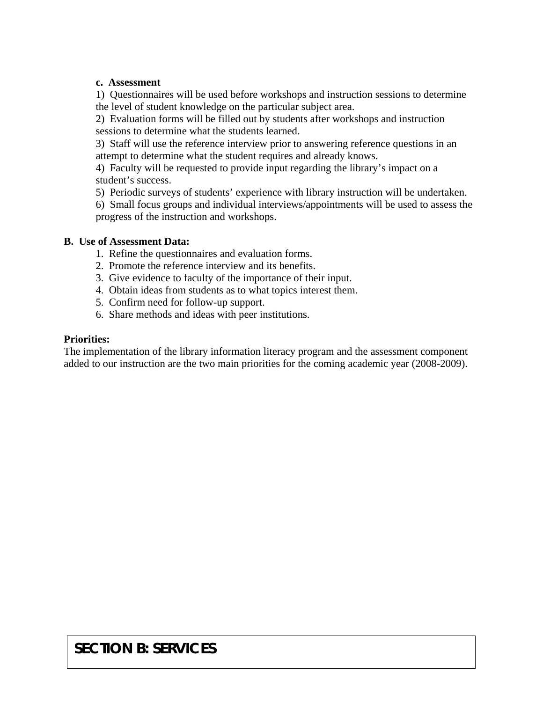#### **c. Assessment**

1) Questionnaires will be used before workshops and instruction sessions to determine the level of student knowledge on the particular subject area.

2) Evaluation forms will be filled out by students after workshops and instruction sessions to determine what the students learned.

3) Staff will use the reference interview prior to answering reference questions in an attempt to determine what the student requires and already knows.

4) Faculty will be requested to provide input regarding the library's impact on a student's success.

5) Periodic surveys of students' experience with library instruction will be undertaken.

6) Small focus groups and individual interviews/appointments will be used to assess the progress of the instruction and workshops.

#### **B. Use of Assessment Data:**

- 1. Refine the questionnaires and evaluation forms.
- 2. Promote the reference interview and its benefits.
- 3. Give evidence to faculty of the importance of their input.
- 4. Obtain ideas from students as to what topics interest them.
- 5. Confirm need for follow-up support.
- 6. Share methods and ideas with peer institutions.

#### **Priorities:**

added to our instruction are the two main priorities for the coming academic year (2008-2009). The implementation of the library information literacy program and the assessment component

## **SECTION B: SERVICES**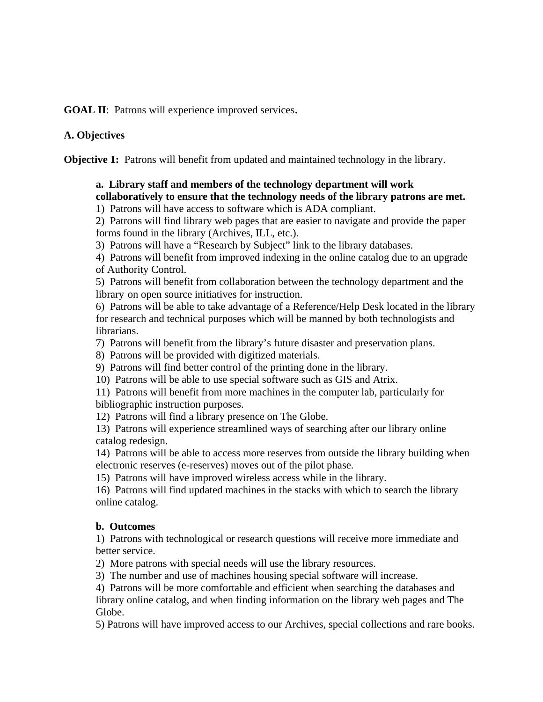GOAL II: Patrons will experience improved services.

## A. Objectives

**Objective 1:** Patrons will benefit from updated and maintained technology in the library.

## collaboratively to ensure that the technology needs of the library patrons are met.  **a. Library staff and members of the technology department will work**

1) Patrons will have access to software which is ADA compliant.

 2) Patrons will find library web pages that are easier to navigate and provide the paper forms found in the library (Archives, ILL, etc.).

3) Patrons will have a "Research by Subject" link to the library databases.

 4) Patrons will benefit from improved indexing in the online catalog due to an upgrade of Authority Control.

5) Patrons will benefit from collaboration between the technology department and the library on open source initiatives for instruction.

6) Patrons will be able to take advantage of a Reference/Help Desk located in the library for research and technical purposes which will be manned by both technologists and librarians.

7) Patrons will benefit from the library's future disaster and preservation plans.

8) Patrons will be provided with digitized materials.

9) Patrons will find better control of the printing done in the library.

10) Patrons will be able to use special software such as GIS and Atrix.

11) Patrons will benefit from more machines in the computer lab, particularly for bibliographic instruction purposes.

12) Patrons will find a library presence on The Globe.

13) Patrons will experience streamlined ways of searching after our library online catalog redesign.

14) Patrons will be able to access more reserves from outside the library building when electronic reserves (e-reserves) moves out of the pilot phase.

15) Patrons will have improved wireless access while in the library.

16) Patrons will find updated machines in the stacks with which to search the library online catalog.

## **b. Outcomes**

 1) Patrons with technological or research questions will receive more immediate and better service.

2) More patrons with special needs will use the library resources.

3) The number and use of machines housing special software will increase.

4) Patrons will be more comfortable and efficient when searching the databases and library online catalog, and when finding information on the library web pages and The Globe.

5) Patrons will have improved access to our Archives, special collections and rare books.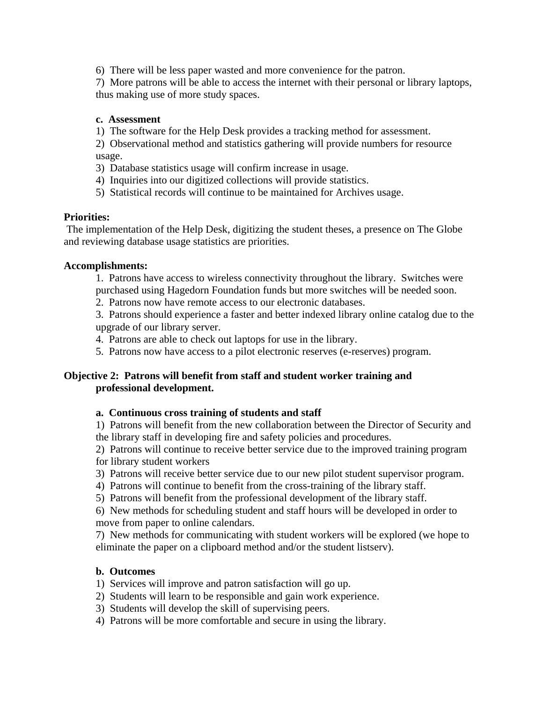6) There will be less paper wasted and more convenience for the patron.

7) More patrons will be able to access the internet with their personal or library laptops, thus making use of more study spaces.

#### **c. Assessment**

1) The software for the Help Desk provides a tracking method for assessment.

2) Observational method and statistics gathering will provide numbers for resource usage.

- 3) Database statistics usage will confirm increase in usage.
	- 4) Inquiries into our digitized collections will provide statistics.
- 5) Statistical records will continue to be maintained for Archives usage.

#### **Priorities:**

 The im plementation of the Help Desk, digitizing the student theses, a presence on The Globe and reviewing database usage statistics are priorities.

#### **Accom plishments:**

- 1. Patrons have access to wireless connectivity throughout the library. Switches were
- purchased using Hagedorn Foundation funds but more switches will be needed soon.
- 2. Patrons now have remote access to our electronic databases.

3. Patrons should experience a faster and better indexed library online catalog due to the upgrade of our library server.

- 4. Patrons are able to check out laptops for use in the library.
- 5. Patrons now have access to a pilot electronic reserves (e-reserves) program.

#### **Objective 2: Patrons will benefit from staff and student worker training and professional development.**

#### a. Continuous cross training of students and staff

1) Patrons will benefit from the new collaboration between the Director of Security and the library staff in developing fire and safety policies and procedures.

2) Patrons will continue to receive better service due to the improved training program for library student workers

- 3) Patrons will receive better service due to our new pilot student supervisor program.
	- 4) Patrons will continue to benefit from the cross-training of the library staff.
	- 5) Patrons will benefit from the professional development of the library staff.

6) New methods for scheduling student and staff hours will be developed in order to move from paper to online calendars.

7) New methods for communicating with student workers will be explored (we hope to eliminate the paper on a clipboard method and/or the student listserv).

#### **b. Outcomes**

- 1) Services will improve and patron satisfaction will go up.
- 2) Students will learn to be responsible and gain work experience.
	- 3) Students will develop the skill of supervising peers.
	- 4) Patrons will be more comfortable and secure in using the library.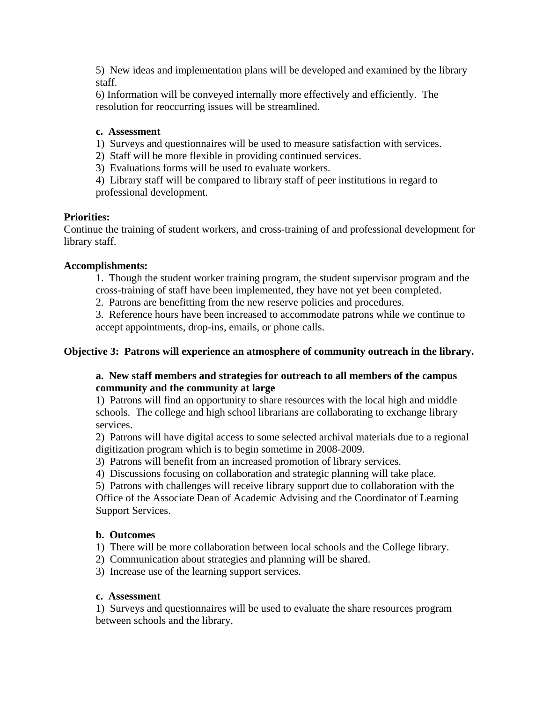5) New ideas and implementation plans will be developed and examined by the library staff.

6) Information will be conveyed internally more effectively and efficiently. The resolution for reoccurring issues will be streamlined.

## **c. Assessment**

- 1) Surveys and questionnaires will be used to measure satisfaction with services.
- 2) Staff will be more flexible in providing continued services.
- 3) Evaluations forms will be used to evaluate workers.

professional development. 4) Library staff will be compared to library staff of peer institutions in regard to

## **Priorities:**

library staff. Continue the training of student workers, and cross-training of and professional development for

## **Accomplishments:**

1. Though the student worker training program, the student supervisor program and the

cross-training of staff have been implemented, they have not yet been completed.

2. Patrons are benefitting from the new reserve policies and procedures.

3. Reference hours have been increased to accommodate patrons while we continue to accept appointments, drop-ins, emails, or phone calls.

## Objective 3: Patrons will experience an atmosphere of community outreach in the library.

## **a.** New staff members and strategies for outreach to all members of the campus  **community and the community at large**

1) Patrons will find an opportunity to share resources with the local high and middle schools. The college and high school librarians are collaborating to exchange library services.

2) Patrons will have digital access to some selected archival materials due to a regional digitization program which is to begin sometime in 2008-2009.

- 3) Patrons will benefit from an increased promotion of library services.
- 4) Discussions focusing on collaboration and strategic planning will take place.

5) Patrons with challenges will receive library support due to collaboration with the Office of the Associate Dean of Academic Advising and the Coordinator of Learning Support Services.

## **b.** Outcomes

1) There will be more collaboration between local schools and the College library.

2) Communication about strategies and planning will be shared.

3) Increase use of the learning support services.

#### **c. Assessment**

1) Surveys and questionnaires will be used to evaluate the share resources program between schools and the library.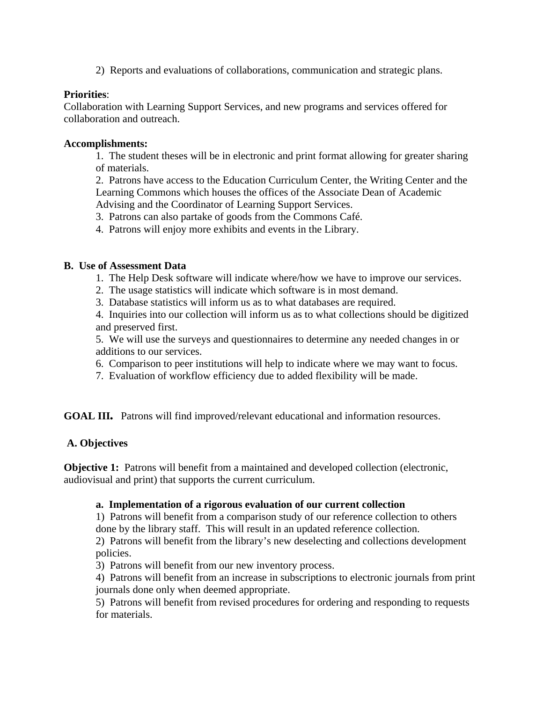2) Reports and evaluations of collaborations, communication and strategic plans.

## **Priorities**:

Collaboration with Learning Support Services, and new programs and services offered for collaboration and outreach.

#### **Accomplishments:**

1. The student theses will be in electronic and print format allowing for greater sharing of materials.

2. Patrons have access to the Education Curriculum Center, the Writing Center and the Learning Commons which houses the offices of the Associate Dean of Academic Advising and the Coordinator of Learning Support Services.

3. Patrons can also partake of goods from the Commons Café.

4. Patrons will enjoy more exhibits and events in the Library.

#### **B. Use of Assessment Data**

- 1. The Help Desk software will indicate where/how we have to improve our services.
- 2. The usage statistics will indicate which software is in most demand.
	- 3. Database statistics will inform us as to what databases are required.

4. Inquiries into our collection will inform us as to what collections should be digitized and preserved first.

5. We will use the surveys and questionnaires to determine any needed changes in or additions to our services.

- 6. Comparison to peer institutions will help to indicate where we may want to focus.
- 7. Evaluation of workflow efficiency due to added flexibility will be made.

GOAL III. Patrons will find improved/relevant educational and information resources.

## A. Objectives

**Objective 1:** Patrons will benefit from a maintained and developed collection (electronic, audiovi sual and print) that supports the current curriculum.

#### a. Implementation of a rigorous evaluation of our current collection

done by the library staff. This will result in an updated reference collection. 1) Patrons will benefit from a comparison study of our reference collection to others

2) Patrons will benefit from the library's new deselecting and collections development policies.

3) Patrons will benefit from our new inventory process.

4) Patrons will benefit from an increase in subscriptions to electronic journals from print journals done only when deemed appropriate.

5) Patrons will benefit from revised procedures for ordering and responding to requests for materials.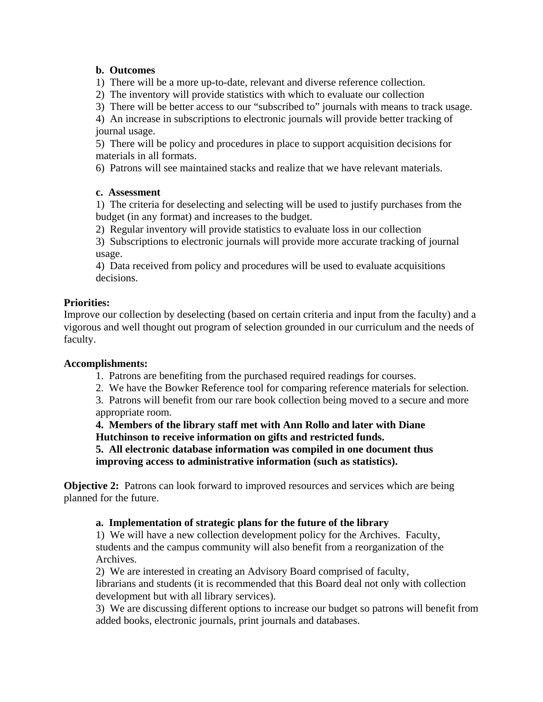## **b. Outcomes**

1) There will be a more up-to-date, relevant and diverse reference collection.

2) The inventory will provide statistics with which to evaluate our collection

3) There will be better access to our "subscribed to" journals with means to track usage.

journal usage. 4) An increase in subscriptions to electronic journals will provide better tracking of

5) There will be policy and procedures in place to support acquisition decisions for materials in all formats.

6) Patrons will see maintained stacks and realize that we have relevant materials.

## **c. Assessment**

1) The criteria for deselecting and selecting will be used to justify purchases from the budget (in any format) and increases to the budget.

2) Regular inventory will provide statistics to evaluate loss in our collection

3) Subscriptions to electronic journals will provide more accurate tracking of journal . usage

 4) Data received from policy and procedures will be used to evaluate acquisitions decisions.

## **Priorities:**

Improve our collection by deselecting (based on certain criteria and input from the faculty) and a vigorous and well thought out program of selection grounded in our curriculum and the needs of faculty.

## **Accomplishments:**

1. Patrons are benefiting from the purchased required readings for courses.

2. We have the Bowker Reference tool for comparing reference materials for selection.

3. Patrons will benefit from our rare book collection being moved to a secure and more appropriate room.

 **. Members of the library staff met with Ann Rollo and later with Diane 4 Hutchinson to receive information on gifts and restricted funds.** 

**following the database information was compiled in one document thus improving access to administrative information (such as statistics).** 

Objective 2: Patrons can look forward to improved resources and services which are being planned for the future.

## **a. Implementation of strategic plans for the future of the library**

students and the campus community will also benefit from a reorganization of the 1) We will have a new collection development policy for the Archives. Faculty, Archives.

2) We are interested in creating an Advisory Board comprised of faculty,

librarians and students (it is recommended that this Board deal not only with collection development but with all library services).

3) We are discussing different options to increase our budget so patrons will benefit from added books, electronic journals, print journals and databases.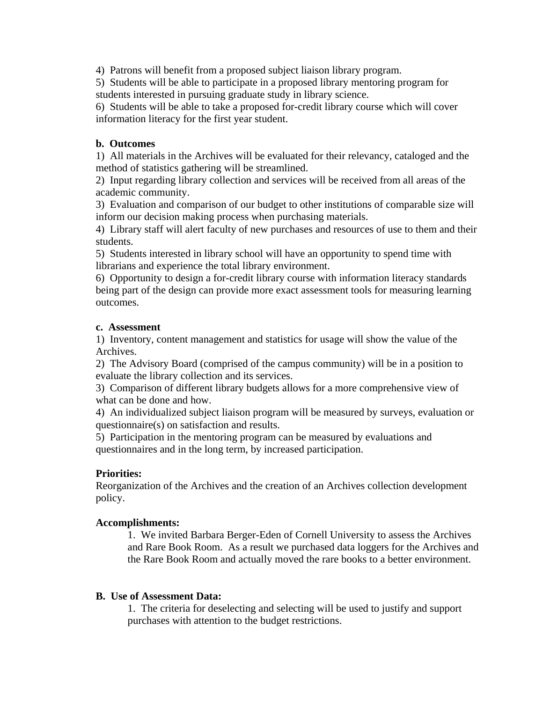4) Patrons will benefit from a proposed subject liaison library program.

5) Students will be able to participate in a proposed library mentoring program for students interested in pursuing graduate study in library science.

6) Students will be able to take a proposed for-credit library course which will cover information literacy for the first year student.

## **b. Outcomes**

1) All materials in the Archives will be evaluated for their relevancy, cataloged and the method of statistics gathering will be streamlined.

2) Input regarding library collection and services will be received from all areas of the academic community.

3) Evaluation and comparison of our budget to other institutions of comparable size will inform our decision making process when purchasing materials.

4) Library staff will alert faculty of new purchases and resources of use to them and their students.

librarians and experience the total library environment. 5) Students interested in library school will have an opportunity to spend time with

) Opportunity to design a for-credit library course with information literacy standards 6 being part of the design can provide more exact assessment tools for measuring learning outcomes.

#### **c. Assessment**

1) Inventory, content management and statistics for usage will show the value of the Archives.

2) The Advisory Board (comprised of the campus community) will be in a position to evaluate the library collection and its services.

3) Comparison of different library budgets allows for a more comprehensive view of what can be done and how.

4) An individualized subject liaison program will be measured by surveys, evaluation or questionnaire(s) on satisfaction and results.

5) Participation in the mentoring program can be measured by evaluations and questionnaires and in the long term, by increased participation.

## **Priorities:**

Reorganization of the Archives and the creation of an Archives collection development policy.

#### **Accomplishments:**

1. We invited Barbara Berger-Eden of Cornell University to assess the Archives and Rare Book Room. As a result we purchased data loggers for the Archives and the Rare Book Room and actually moved the rare books to a better environment.

#### **B. Use of Assessment Data:**

1. The criteria for deselecting and selecting will be used to justify and support purchases with attention to the budget restrictions.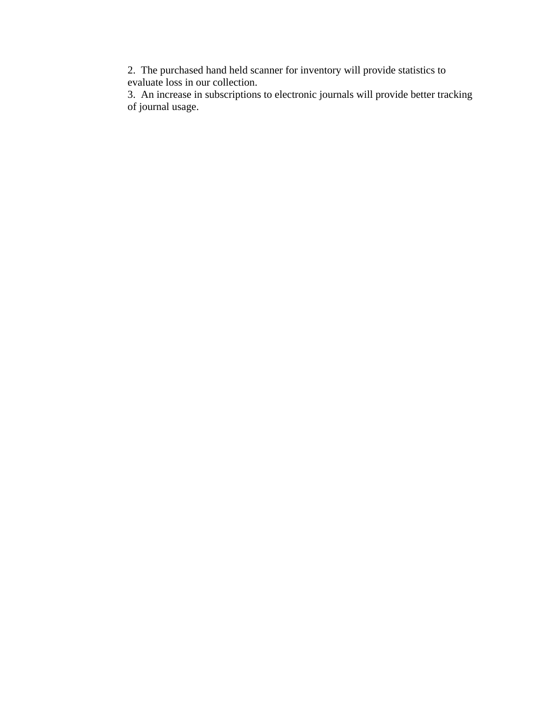2. The purchased hand held scanner for inventory will provide statistics to evaluate loss in our collection.

3. An increase in subscriptions to electronic journals will provide better tracking of journal usage.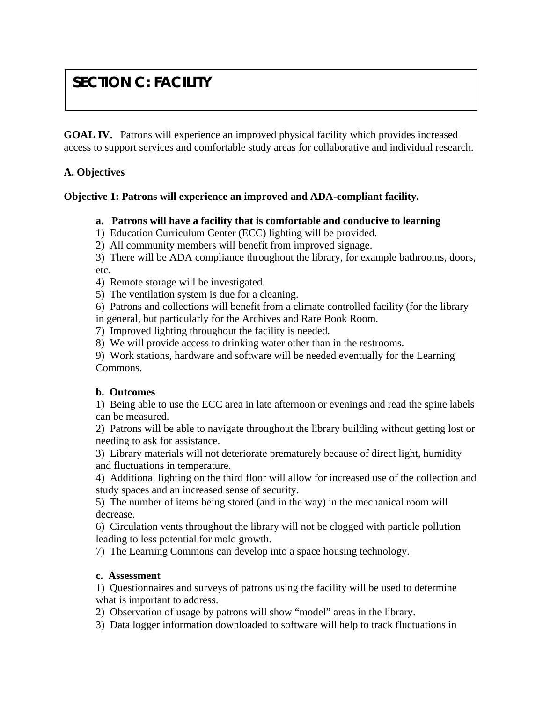# **SECTION C: FACILITY**

**GOAL IV**. Patrons will experience an improved physical facility which provides increased access to support services and comfortable study areas for collaborative and individual research.

## **A. Objectives**

## **Objective 1: Patrons will experience an improved and ADA-compliant facility.**

## **a. Patrons will have a facility that is comfortable and conducive to learning**

1) Education Curriculum Center (ECC) lighting will be provided.

2) All community members will benefit from improved signage.

3) There will be ADA compliance throughout the library, for example bathrooms, doors, etc.

4) Remote storage will be investigated.

5) The ventilation system is due for a cleaning.

6) Patrons and collections will benefit from a climate controlled facility (for the library

in general, but particularly for the Archives and Rare Book Room.

7) Improved lighting throughout the facility is needed.

8) We will provide access to drinking water other than in the restrooms.

9) Work stations, hardware and software will be needed eventually for the Learning Commons.

## **b. Outcomes**

1) Being able to use the ECC area in late afternoon or evenings and read the spine labels can be measured.

2) Patrons will be able to navigate throughout the library building without getting lost or needing to ask for assistance.

3) Library materials will not deteriorate prematurely because of direct light, humidity and fluctuations in temperature.

4) Additional lighting on the third floor will allow for increased use of the collection and study spaces and an increased sense of security.

5) The number of items being stored (and in the way) in the mechanical room will decrease.

6) Circulation vents throughout the library will not be clogged with particle pollution leading to less potential for mold growth.

7) The Learning Commons can develop into a space housing technology.

## **c. Assessment**

1) Questionnaires and surveys of patrons using the facility will be used to determine what is important to address.

2) Observation of usage by patrons will show "model" areas in the library.

3) Data logger information downloaded to software will help to track fluctuations in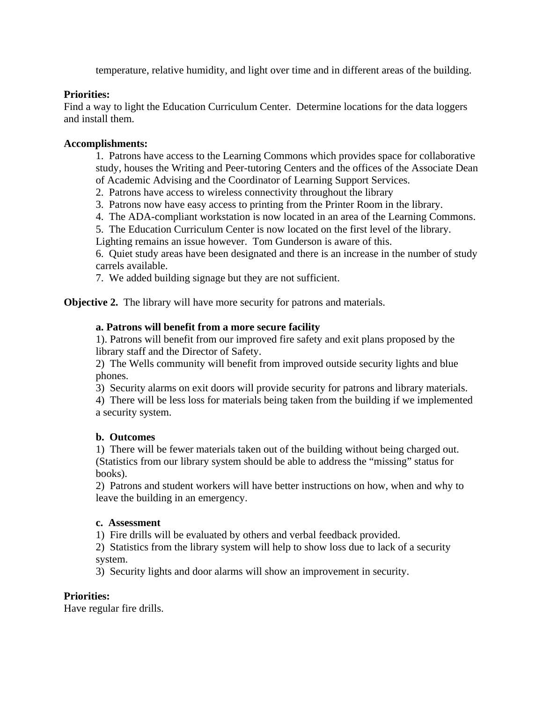temperature, relative humidity, and light over time and in different areas of the building.

## **Priorities:**

Find a way to light the Education Curriculum Center. Determine locations for the data loggers and install them.

#### **Accomplishments:**

 1. Patrons have access to the Learning Commons which provides space for collaborative study, houses the Writing and Peer-tutoring Centers and the offices of the Associate Dean of Academic Advising and the Coordinator of Learning Support Services.

2. Patrons have access to wireless connectivity throughout the library

3. Patrons now have easy access to printing from the Printer Room in the library.

4. The ADA-compliant workstation is now located in an area of the Learning Commons.

5. The Education Curriculum Center is now located on the first level of the library.

Lighting remains an issue however. Tom Gunderson is aware of this.

 6. Quiet study areas have been designated and there is an increase in the number of study carrels available.

7. We added building signage but they are not sufficient.

**Objective 2.** The library will have more security for patrons and materials.

## **a. Patrons will benefit from a more secure facility**

 1). Patrons will benefit from our improved fire safety and exit plans proposed by the library staff and the Director of Safety.

 2) The Wells community will benefit from improved outside security lights and blue phones.

3) Security alarms on exit doors will provide security for patrons and library materials.

 4) There will be less loss for materials being taken from the building if we implemented a security system.

#### **b. Outcomes**

1) There will be fewer materials taken out of the building without being charged out. (Statistics from our library system should be able to address the "missing" status for books).

 2) Patrons and student workers will have better instructions on how, when and why to leave the building in an emergency.

#### **c. Assessment**

1) Fire drills will be evaluated by others and verbal feedback provided.

 2) Statistics from the library system will help to show loss due to lack of a security system.

3) Security lights and door alarms will show an improvement in security.

## **Priorities:**

Have regular fire drills.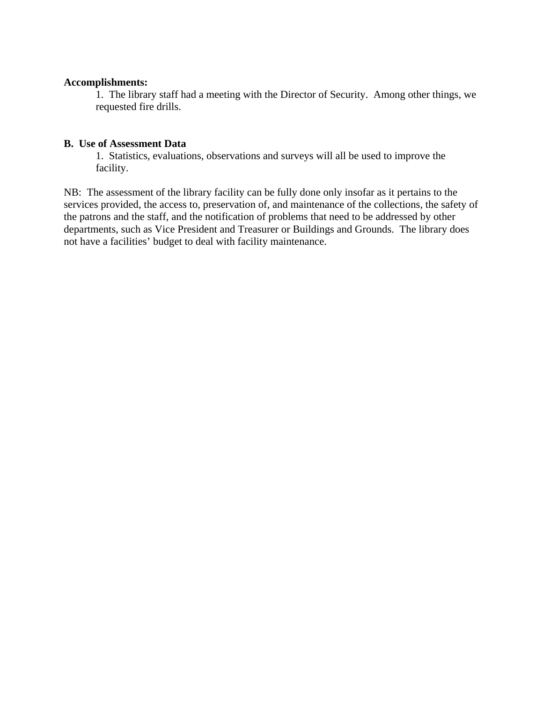#### **Accomplishments:**

 1. The library staff had a meeting with the Director of Security. Among other things, we requested fire drills.

## **B. Use of Assessment Data**

 1. Statistics, evaluations, observations and surveys will all be used to improve the facility.

NB: The assessment of the library facility can be fully done only insofar as it pertains to the services provided, the access to, preservation of, and maintenance of the collections, the safety of the patrons and the staff, and the notification of problems that need to be addressed by other departments, such as Vice President and Treasurer or Buildings and Grounds. The library does not have a facilities' budget to deal with facility maintenance.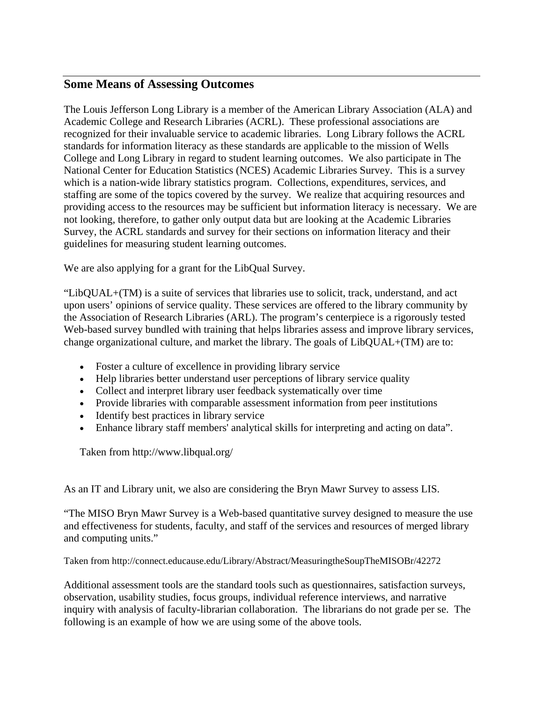## **Some Means of Assessing Outcomes**

The Louis Jefferson Long Library is a member of the American Library Association (ALA) and Academic College and Research Libraries (ACRL). These professional associations are recognized for their invaluable service to academic libraries. Long Library follows the ACRL standards for information literacy as these standards are applicable to the mission of Wells College and Long Library in regard to student learning outcomes. We also participate in The National Center for Education Statistics (NCES) Academic Libraries Survey. This is a survey which is a nation-wide library statistics program. Collections, expenditures, services, and staffing are some of the topics covered by the survey. We realize that acquiring resources and providing access to the resources may be sufficient but information literacy is necessary. We are not looking, therefore, to gather only output data but are looking at the Academic Libraries Survey, the ACRL standards and survey for their sections on information literacy and their guidelines for measuring student learning outcomes.

We are also applying for a grant for the LibQual Survey.

"LibQUAL+(TM) is a suite of services that libraries use to solicit, track, understand, and act upon users' opinions of service quality. These services are offered to the library community by the Association of Research Libraries (ARL). The program's centerpiece is a rigorously tested Web-based survey bundled with training that helps libraries assess and improve library services, change organizational culture, and market the library. The goals of LibQUAL+(TM) are to:

- Foster a culture of excellence in providing library service
- Help libraries better understand user perceptions of library service quality
- Collect and interpret library user feedback systematically over time
- Provide libraries with comparable assessment information from peer institutions
- Identify best practices in library service
- Enhance library staff members' analytical skills for interpreting and acting on data".

Taken from http://www.libqual.org/

As an IT and Library unit, we also are considering the Bryn Mawr Survey to assess LIS.

"The MISO Bryn Mawr Survey is a Web-based quantitative survey designed to measure the use and effectiveness for students, faculty, and staff of the services and resources of merged library and computing units."

Taken from http://connect.educause.edu/Library/Abstract/MeasuringtheSoupTheMISOBr/42272

Additional assessment tools are the standard tools such as questionnaires, satisfaction surveys, observation, usability studies, focus groups, individual reference interviews, and narrative inquiry with analysis of faculty-librarian collaboration. The librarians do not grade per se. The following is an example of how we are using some of the above tools.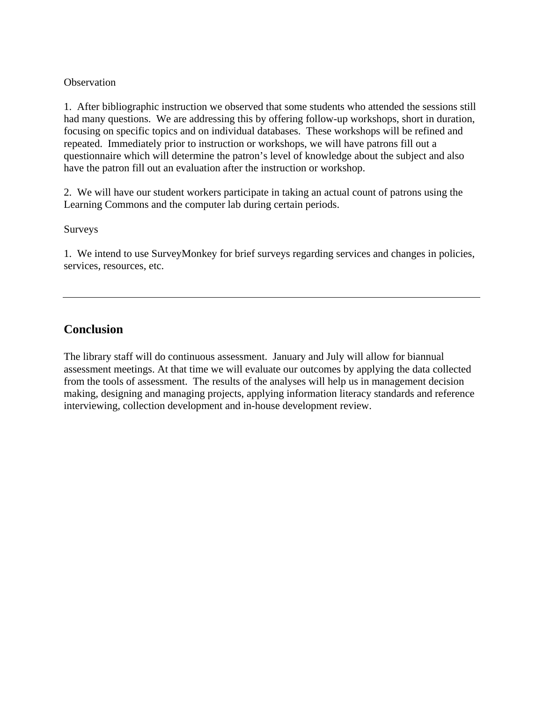#### **Observation**

1. After bibliographic instruction we observed that some students who attended the sessions still had many questions. We are addressing this by offering follow-up workshops, short in duration, focusing on specific topics and on individual databases. These workshops will be refined and repeated. Immediately prior to instruction or workshops, we will have patrons fill out a questionnaire which will determine the patron's level of knowledge about the subject and also have the patron fill out an evaluation after the instruction or workshop.

2. We will have our student workers participate in taking an actual count of patrons using the Learning Commons and the computer lab during certain periods.

#### Surveys

1. We intend to use SurveyMonkey for brief surveys regarding services and changes in policies, services, resources, etc.

## **Conclusion**

The library staff will do continuous assessment. January and July will allow for biannual assessment meetings. At that time we will evaluate our outcomes by applying the data collected from the tools of assessment. The results of the analyses will help us in management decision making, designing and managing projects, applying information literacy standards and reference interviewing, collection development and in-house development review.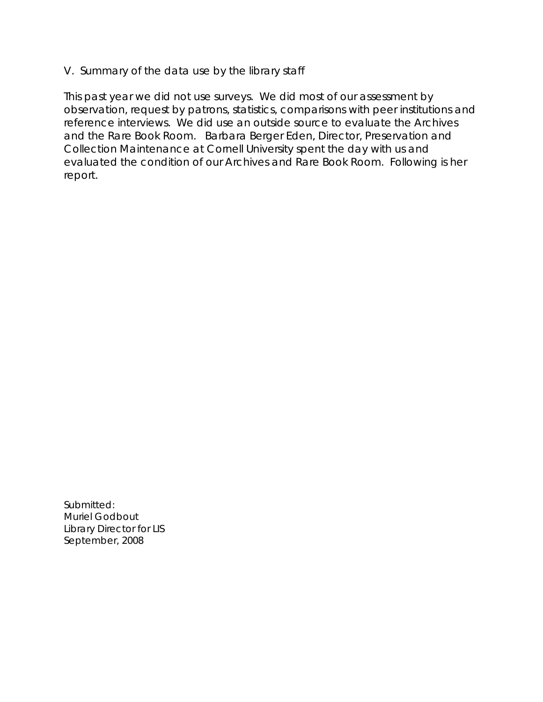## V. Summary of the data use by the library staff

This past year we did not use surveys. We did most of our assessment by observation, request by patrons, statistics, comparisons with peer institutions and reference interviews. We did use an outside source to evaluate the Archives and the Rare Book Room. Barbara Berger Eden, Director, Preservation and Collection Maintenance at Cornell University spent the day with us and evaluated the condition of our Archives and Rare Book Room. Following is her report.

Submitted: Muriel Godbout Library Director for LIS September, 2008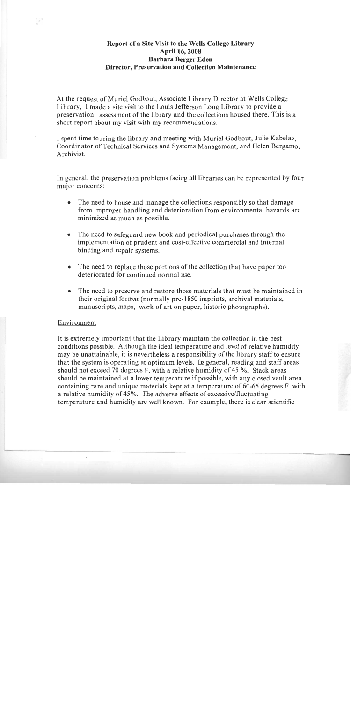## Report of a Site Visit to the Wells College Library **April 16, 2008 Barbara Berger Eden Director, Preservation and Collection Maintenance**

At the request of Muriel Godbout, Associate Library Director at Wells College Library. I made a site visit to the Louis Jefferson Long Library to provide a preservation assessment of the library and the collections housed there. This is a short report about my visit with my recommendations.

I spent time touring the library and meeting with Muriel Godbout, Julie Kabelac, Coordinator of Technical Services and Systems Management, and Helen Bergamo, Archivist.

In general, the preservation problems facing all libraries can be represented by four major concerns:

- The need to house and manage the collections responsibly so that damage  $\bullet$ from improper handling and deterioration from environmental hazards are minimized as much as possible.
- The need to safeguard new book and periodical purchases through the  $\bullet$ implementation of prudent and cost-effective commercial and internal binding and repair systems.
- The need to replace those portions of the collection that have paper too  $\bullet$ deteriorated for continued normal use.
- The need to preserve and restore those materials that must be maintained in  $\bullet$ their original format (normally pre-1850 imprints, archival materials, manuscripts, maps, work of art on paper, historic photographs).

#### Environment

It is extremely important that the Library maintain the collection in the best conditions possible. Although the ideal temperature and level of relative humidity may be unattainable, it is nevertheless a responsibility of the library staff to ensure that the system is operating at optimum levels. In general, reading and staff areas should not exceed 70 degrees F, with a relative humidity of 45 %. Stack areas should be maintained at a lower temperature if possible, with any closed vault area containing rare and unique materials kept at a temperature of 60-65 degrees F. with a relative humidity of 45%. The adverse effects of excessive/fluctuating temperature and humidity are well known. For example, there is clear scientific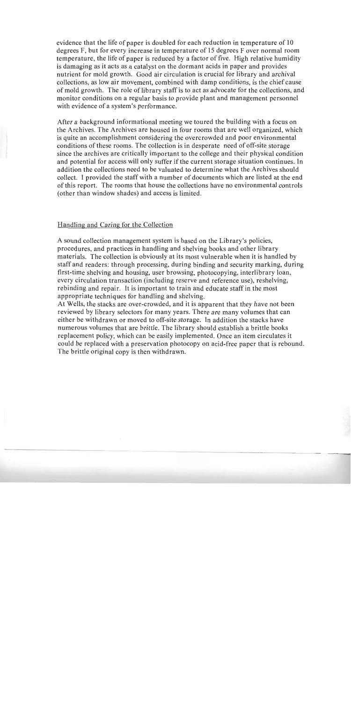evidence that the life of paper is doubled for each reduction in temperature of 10 degrees F, but for every increase in temperature of 15 degrees F over normal room temperature, the life of paper is reduced by a factor of five. High relative humidity is damaging as it acts as a catalyst on the dormant acids in paper and provides nutrient for mold growth. Good air circulation is crucial for library and archival collections, as low air movement, combined with damp conditions, is the chief cause of mold growth. The role of library staff is to act as advocate for the collections, and monitor conditions on a regular basis to provide plant and management personnel with evidence of a system's performance.

After a background informational meeting we toured the building with a focus on the Archives. The Archives are housed in four rooms that are well organized, which is quite an accomplishment considering the overcrowded and poor environmental conditions of these rooms. The collection is in desperate need of off-site storage since the archives are critically important to the college and their physical condition and potential for access will only suffer if the current storage situation continues. In addition the collections need to be valuated to determine what the Archives should collect. I provided the staff with a number of documents which are listed at the end of this report. The rooms that house the collections have no environmental controls (other than window shades) and access is limited.

#### Handling and Caring for the Collection

A sound collection management system is based on the Library's policies, procedures, and practices in handling and shelving books and other library materials. The collection is obviously at its most vulnerable when it is handled by staff and readers: through processing, during binding and security marking, during first-time shelving and housing, user browsing, photocopying, interlibrary loan, every circulation transaction (including reserve and reference use), reshelving, rebinding and repair. It is important to train and educate staff in the most appropriate techniques for handling and shelving.

At Wells, the stacks are over-crowded, and it is apparent that they have not been reviewed by library selectors for many years. There are many volumes that can either be withdrawn or moved to off-site storage. In addition the stacks have numerous volumes that are brittle. The library should establish a brittle books replacement policy, which can be easily implemented. Once an item circulates it could be replaced with a preservation photocopy on acid-free paper that is rebound. The brittle original copy is then withdrawn.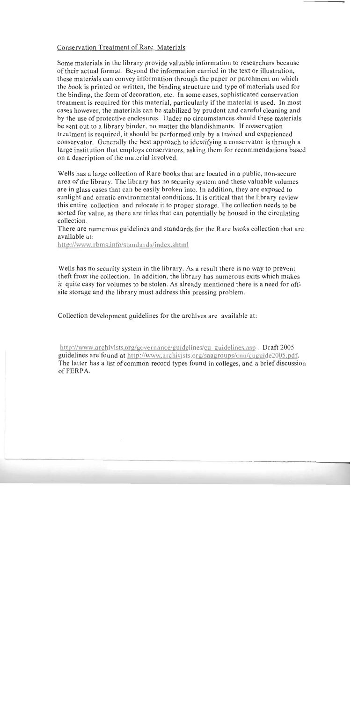#### **Conservation Treatment of Rare Materials**

Some materials in the library provide valuable information to researchers because of their actual format. Beyond the information carried in the text or illustration, these materials can convey information through the paper or parchment on which the book is printed or written, the binding structure and type of materials used for the binding, the form of decoration, etc. In some cases, sophisticated conservation treatment is required for this material, particularly if the material is used. In most cases however, the materials can be stabilized by prudent and careful cleaning and by the use of protective enclosures. Under no circumstances should these materials be sent out to a library binder, no matter the blandishments. If conservation treatment is required, it should be performed only by a trained and experienced conservator. Generally the best approach to identifying a conservator is through a large institution that employs conservators, asking them for recommendations based on a description of the material involved.

Wells has a large collection of Rare books that are located in a public, non-secure area of the library. The library has no security system and these valuable volumes are in glass cases that can be easily broken into. In addition, they are exposed to sunlight and erratic environmental conditions. It is critical that the library review this entire collection and relocate it to proper storage. The collection needs to be sorted for value, as there are titles that can potentially be housed in the circulating collection

There are numerous guidelines and standards for the Rare books collection that are available at:

http://www.rbms.info/standards/index.shtml

Wells has no security system in the library. As a result there is no way to prevent theft from the collection. In addition, the library has numerous exits which makes it quite easy for volumes to be stolen. As already mentioned there is a need for offsite storage and the library must address this pressing problem.

Collection development guidelines for the archives are available at:

http://www.archivists.org/governance/guidelines/cu guidelines.asp. Draft 2005 guidelines are found at http://www.archivists.org/saagroups/cnu/cuguide2005.pdf. The latter has a list of common record types found in colleges, and a brief discussion of FERPA.